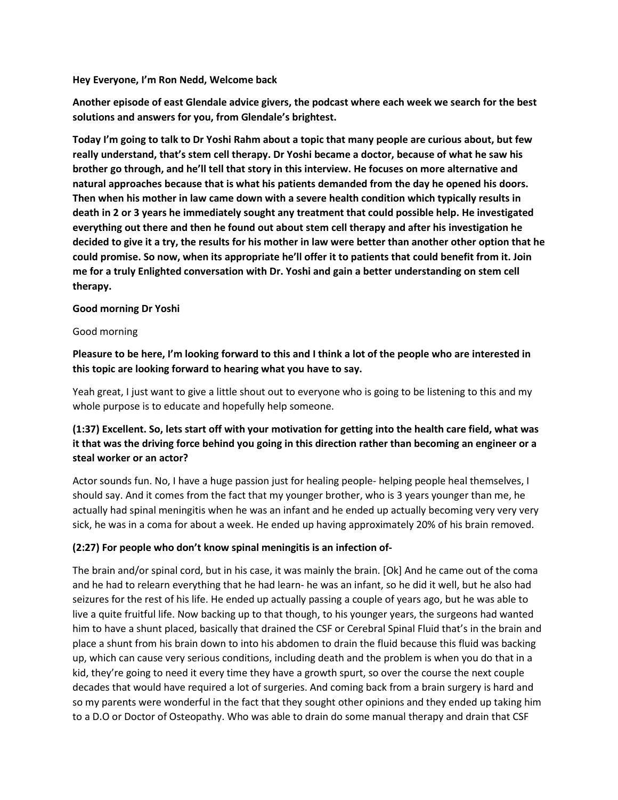**Hey Everyone, I'm Ron Nedd, Welcome back**

**Another episode of east Glendale advice givers, the podcast where each week we search for the best solutions and answers for you, from Glendale's brightest.**

**Today I'm going to talk to Dr Yoshi Rahm about a topic that many people are curious about, but few really understand, that's stem cell therapy. Dr Yoshi became a doctor, because of what he saw his brother go through, and he'll tell that story in this interview. He focuses on more alternative and natural approaches because that is what his patients demanded from the day he opened his doors. Then when his mother in law came down with a severe health condition which typically results in death in 2 or 3 years he immediately sought any treatment that could possible help. He investigated everything out there and then he found out about stem cell therapy and after his investigation he decided to give it a try, the results for his mother in law were better than another other option that he could promise. So now, when its appropriate he'll offer it to patients that could benefit from it. Join me for a truly Enlighted conversation with Dr. Yoshi and gain a better understanding on stem cell therapy.**

#### **Good morning Dr Yoshi**

#### Good morning

**Pleasure to be here, I'm looking forward to this and I think a lot of the people who are interested in this topic are looking forward to hearing what you have to say.**

Yeah great, I just want to give a little shout out to everyone who is going to be listening to this and my whole purpose is to educate and hopefully help someone.

## **(1:37) Excellent. So, lets start off with your motivation for getting into the health care field, what was it that was the driving force behind you going in this direction rather than becoming an engineer or a steal worker or an actor?**

Actor sounds fun. No, I have a huge passion just for healing people- helping people heal themselves, I should say. And it comes from the fact that my younger brother, who is 3 years younger than me, he actually had spinal meningitis when he was an infant and he ended up actually becoming very very very sick, he was in a coma for about a week. He ended up having approximately 20% of his brain removed.

### **(2:27) For people who don't know spinal meningitis is an infection of-**

The brain and/or spinal cord, but in his case, it was mainly the brain. [Ok] And he came out of the coma and he had to relearn everything that he had learn- he was an infant, so he did it well, but he also had seizures for the rest of his life. He ended up actually passing a couple of years ago, but he was able to live a quite fruitful life. Now backing up to that though, to his younger years, the surgeons had wanted him to have a shunt placed, basically that drained the CSF or Cerebral Spinal Fluid that's in the brain and place a shunt from his brain down to into his abdomen to drain the fluid because this fluid was backing up, which can cause very serious conditions, including death and the problem is when you do that in a kid, they're going to need it every time they have a growth spurt, so over the course the next couple decades that would have required a lot of surgeries. And coming back from a brain surgery is hard and so my parents were wonderful in the fact that they sought other opinions and they ended up taking him to a D.O or Doctor of Osteopathy. Who was able to drain do some manual therapy and drain that CSF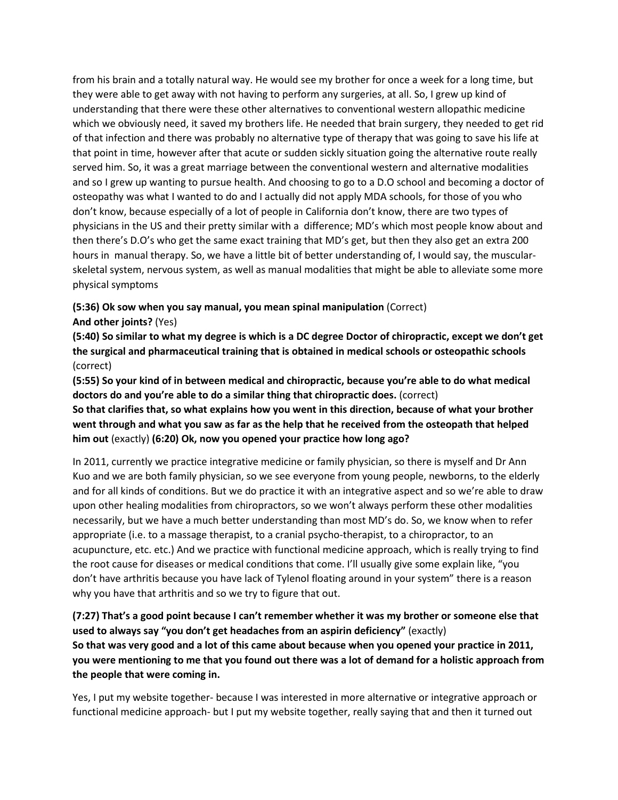from his brain and a totally natural way. He would see my brother for once a week for a long time, but they were able to get away with not having to perform any surgeries, at all. So, I grew up kind of understanding that there were these other alternatives to conventional western allopathic medicine which we obviously need, it saved my brothers life. He needed that brain surgery, they needed to get rid of that infection and there was probably no alternative type of therapy that was going to save his life at that point in time, however after that acute or sudden sickly situation going the alternative route really served him. So, it was a great marriage between the conventional western and alternative modalities and so I grew up wanting to pursue health. And choosing to go to a D.O school and becoming a doctor of osteopathy was what I wanted to do and I actually did not apply MDA schools, for those of you who don't know, because especially of a lot of people in California don't know, there are two types of physicians in the US and their pretty similar with a difference; MD's which most people know about and then there's D.O's who get the same exact training that MD's get, but then they also get an extra 200 hours in manual therapy. So, we have a little bit of better understanding of, I would say, the muscularskeletal system, nervous system, as well as manual modalities that might be able to alleviate some more physical symptoms

**(5:36) Ok sow when you say manual, you mean spinal manipulation** (Correct)

**And other joints?** (Yes)

**(5:40) So similar to what my degree is which is a DC degree Doctor of chiropractic, except we don't get the surgical and pharmaceutical training that is obtained in medical schools or osteopathic schools**  (correct)

**(5:55) So your kind of in between medical and chiropractic, because you're able to do what medical doctors do and you're able to do a similar thing that chiropractic does.** (correct)

**So that clarifies that, so what explains how you went in this direction, because of what your brother went through and what you saw as far as the help that he received from the osteopath that helped him out** (exactly) **(6:20) Ok, now you opened your practice how long ago?**

In 2011, currently we practice integrative medicine or family physician, so there is myself and Dr Ann Kuo and we are both family physician, so we see everyone from young people, newborns, to the elderly and for all kinds of conditions. But we do practice it with an integrative aspect and so we're able to draw upon other healing modalities from chiropractors, so we won't always perform these other modalities necessarily, but we have a much better understanding than most MD's do. So, we know when to refer appropriate (i.e. to a massage therapist, to a cranial psycho-therapist, to a chiropractor, to an acupuncture, etc. etc.) And we practice with functional medicine approach, which is really trying to find the root cause for diseases or medical conditions that come. I'll usually give some explain like, "you don't have arthritis because you have lack of Tylenol floating around in your system" there is a reason why you have that arthritis and so we try to figure that out.

**(7:27) That's a good point because I can't remember whether it was my brother or someone else that used to always say "you don't get headaches from an aspirin deficiency"** (exactly) **So that was very good and a lot of this came about because when you opened your practice in 2011, you were mentioning to me that you found out there was a lot of demand for a holistic approach from the people that were coming in.**

Yes, I put my website together- because I was interested in more alternative or integrative approach or functional medicine approach- but I put my website together, really saying that and then it turned out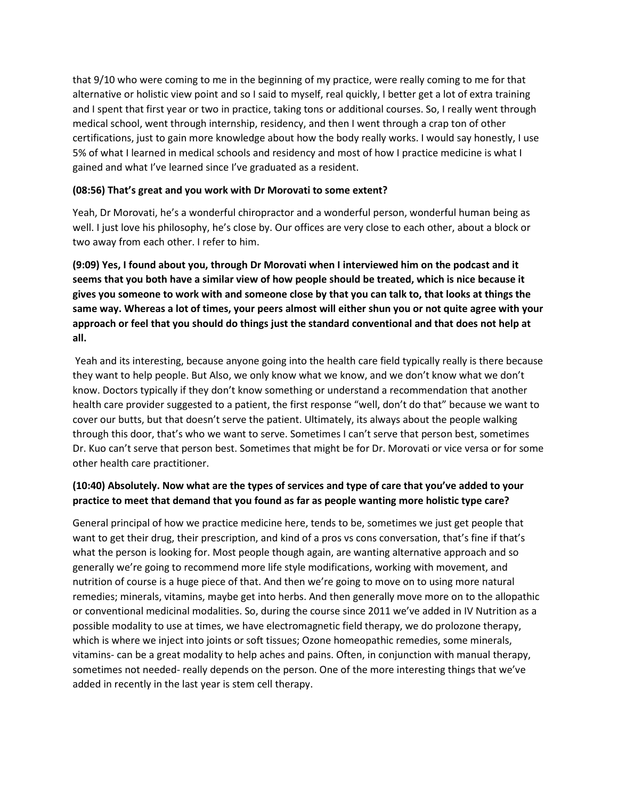that 9/10 who were coming to me in the beginning of my practice, were really coming to me for that alternative or holistic view point and so I said to myself, real quickly, I better get a lot of extra training and I spent that first year or two in practice, taking tons or additional courses. So, I really went through medical school, went through internship, residency, and then I went through a crap ton of other certifications, just to gain more knowledge about how the body really works. I would say honestly, I use 5% of what I learned in medical schools and residency and most of how I practice medicine is what I gained and what I've learned since I've graduated as a resident.

#### **(08:56) That's great and you work with Dr Morovati to some extent?**

Yeah, Dr Morovati, he's a wonderful chiropractor and a wonderful person, wonderful human being as well. I just love his philosophy, he's close by. Our offices are very close to each other, about a block or two away from each other. I refer to him.

**(9:09) Yes, I found about you, through Dr Morovati when I interviewed him on the podcast and it seems that you both have a similar view of how people should be treated, which is nice because it gives you someone to work with and someone close by that you can talk to, that looks at things the same way. Whereas a lot of times, your peers almost will either shun you or not quite agree with your approach or feel that you should do things just the standard conventional and that does not help at all.**

Yeah and its interesting, because anyone going into the health care field typically really is there because they want to help people. But Also, we only know what we know, and we don't know what we don't know. Doctors typically if they don't know something or understand a recommendation that another health care provider suggested to a patient, the first response "well, don't do that" because we want to cover our butts, but that doesn't serve the patient. Ultimately, its always about the people walking through this door, that's who we want to serve. Sometimes I can't serve that person best, sometimes Dr. Kuo can't serve that person best. Sometimes that might be for Dr. Morovati or vice versa or for some other health care practitioner.

## **(10:40) Absolutely. Now what are the types of services and type of care that you've added to your practice to meet that demand that you found as far as people wanting more holistic type care?**

General principal of how we practice medicine here, tends to be, sometimes we just get people that want to get their drug, their prescription, and kind of a pros vs cons conversation, that's fine if that's what the person is looking for. Most people though again, are wanting alternative approach and so generally we're going to recommend more life style modifications, working with movement, and nutrition of course is a huge piece of that. And then we're going to move on to using more natural remedies; minerals, vitamins, maybe get into herbs. And then generally move more on to the allopathic or conventional medicinal modalities. So, during the course since 2011 we've added in IV Nutrition as a possible modality to use at times, we have electromagnetic field therapy, we do prolozone therapy, which is where we inject into joints or soft tissues; Ozone homeopathic remedies, some minerals, vitamins- can be a great modality to help aches and pains. Often, in conjunction with manual therapy, sometimes not needed- really depends on the person. One of the more interesting things that we've added in recently in the last year is stem cell therapy.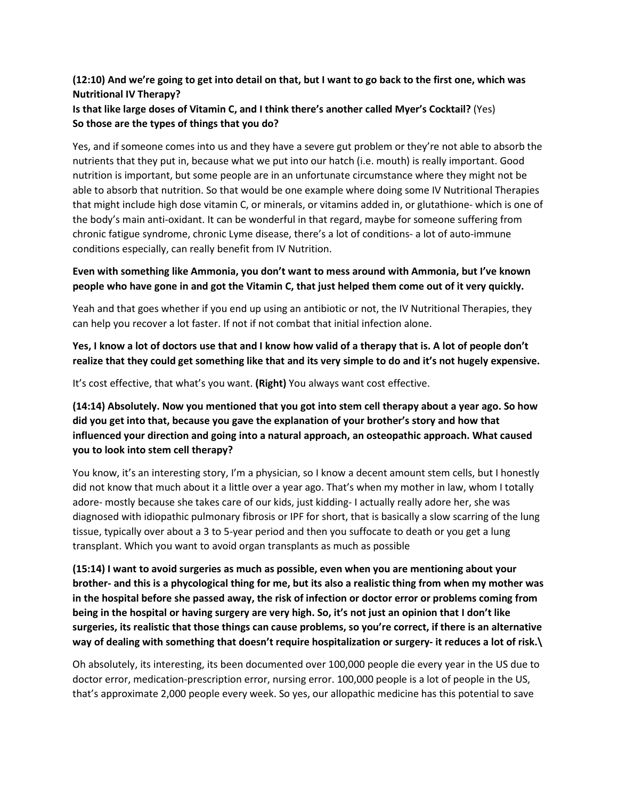## **(12:10) And we're going to get into detail on that, but I want to go back to the first one, which was Nutritional IV Therapy?**

## **Is that like large doses of Vitamin C, and I think there's another called Myer's Cocktail?** (Yes) **So those are the types of things that you do?**

Yes, and if someone comes into us and they have a severe gut problem or they're not able to absorb the nutrients that they put in, because what we put into our hatch (i.e. mouth) is really important. Good nutrition is important, but some people are in an unfortunate circumstance where they might not be able to absorb that nutrition. So that would be one example where doing some IV Nutritional Therapies that might include high dose vitamin C, or minerals, or vitamins added in, or glutathione- which is one of the body's main anti-oxidant. It can be wonderful in that regard, maybe for someone suffering from chronic fatigue syndrome, chronic Lyme disease, there's a lot of conditions- a lot of auto-immune conditions especially, can really benefit from IV Nutrition.

## **Even with something like Ammonia, you don't want to mess around with Ammonia, but I've known people who have gone in and got the Vitamin C, that just helped them come out of it very quickly.**

Yeah and that goes whether if you end up using an antibiotic or not, the IV Nutritional Therapies, they can help you recover a lot faster. If not if not combat that initial infection alone.

## **Yes, I know a lot of doctors use that and I know how valid of a therapy that is. A lot of people don't realize that they could get something like that and its very simple to do and it's not hugely expensive.**

It's cost effective, that what's you want. **(Right)** You always want cost effective.

# **(14:14) Absolutely. Now you mentioned that you got into stem cell therapy about a year ago. So how did you get into that, because you gave the explanation of your brother's story and how that influenced your direction and going into a natural approach, an osteopathic approach. What caused you to look into stem cell therapy?**

You know, it's an interesting story, I'm a physician, so I know a decent amount stem cells, but I honestly did not know that much about it a little over a year ago. That's when my mother in law, whom I totally adore- mostly because she takes care of our kids, just kidding- I actually really adore her, she was diagnosed with idiopathic pulmonary fibrosis or IPF for short, that is basically a slow scarring of the lung tissue, typically over about a 3 to 5-year period and then you suffocate to death or you get a lung transplant. Which you want to avoid organ transplants as much as possible

**(15:14) I want to avoid surgeries as much as possible, even when you are mentioning about your brother- and this is a phycological thing for me, but its also a realistic thing from when my mother was in the hospital before she passed away, the risk of infection or doctor error or problems coming from being in the hospital or having surgery are very high. So, it's not just an opinion that I don't like surgeries, its realistic that those things can cause problems, so you're correct, if there is an alternative way of dealing with something that doesn't require hospitalization or surgery- it reduces a lot of risk.\**

Oh absolutely, its interesting, its been documented over 100,000 people die every year in the US due to doctor error, medication-prescription error, nursing error. 100,000 people is a lot of people in the US, that's approximate 2,000 people every week. So yes, our allopathic medicine has this potential to save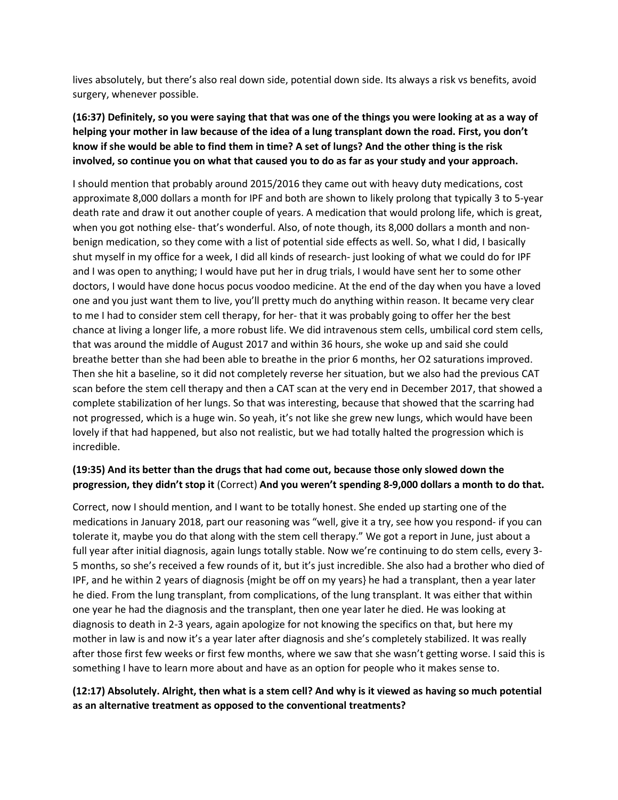lives absolutely, but there's also real down side, potential down side. Its always a risk vs benefits, avoid surgery, whenever possible.

# **(16:37) Definitely, so you were saying that that was one of the things you were looking at as a way of helping your mother in law because of the idea of a lung transplant down the road. First, you don't know if she would be able to find them in time? A set of lungs? And the other thing is the risk involved, so continue you on what that caused you to do as far as your study and your approach.**

I should mention that probably around 2015/2016 they came out with heavy duty medications, cost approximate 8,000 dollars a month for IPF and both are shown to likely prolong that typically 3 to 5-year death rate and draw it out another couple of years. A medication that would prolong life, which is great, when you got nothing else- that's wonderful. Also, of note though, its 8,000 dollars a month and nonbenign medication, so they come with a list of potential side effects as well. So, what I did, I basically shut myself in my office for a week, I did all kinds of research- just looking of what we could do for IPF and I was open to anything; I would have put her in drug trials, I would have sent her to some other doctors, I would have done hocus pocus voodoo medicine. At the end of the day when you have a loved one and you just want them to live, you'll pretty much do anything within reason. It became very clear to me I had to consider stem cell therapy, for her- that it was probably going to offer her the best chance at living a longer life, a more robust life. We did intravenous stem cells, umbilical cord stem cells, that was around the middle of August 2017 and within 36 hours, she woke up and said she could breathe better than she had been able to breathe in the prior 6 months, her O2 saturations improved. Then she hit a baseline, so it did not completely reverse her situation, but we also had the previous CAT scan before the stem cell therapy and then a CAT scan at the very end in December 2017, that showed a complete stabilization of her lungs. So that was interesting, because that showed that the scarring had not progressed, which is a huge win. So yeah, it's not like she grew new lungs, which would have been lovely if that had happened, but also not realistic, but we had totally halted the progression which is incredible.

## **(19:35) And its better than the drugs that had come out, because those only slowed down the progression, they didn't stop it** (Correct) **And you weren't spending 8-9,000 dollars a month to do that.**

Correct, now I should mention, and I want to be totally honest. She ended up starting one of the medications in January 2018, part our reasoning was "well, give it a try, see how you respond- if you can tolerate it, maybe you do that along with the stem cell therapy." We got a report in June, just about a full year after initial diagnosis, again lungs totally stable. Now we're continuing to do stem cells, every 3- 5 months, so she's received a few rounds of it, but it's just incredible. She also had a brother who died of IPF, and he within 2 years of diagnosis {might be off on my years} he had a transplant, then a year later he died. From the lung transplant, from complications, of the lung transplant. It was either that within one year he had the diagnosis and the transplant, then one year later he died. He was looking at diagnosis to death in 2-3 years, again apologize for not knowing the specifics on that, but here my mother in law is and now it's a year later after diagnosis and she's completely stabilized. It was really after those first few weeks or first few months, where we saw that she wasn't getting worse. I said this is something I have to learn more about and have as an option for people who it makes sense to.

## **(12:17) Absolutely. Alright, then what is a stem cell? And why is it viewed as having so much potential as an alternative treatment as opposed to the conventional treatments?**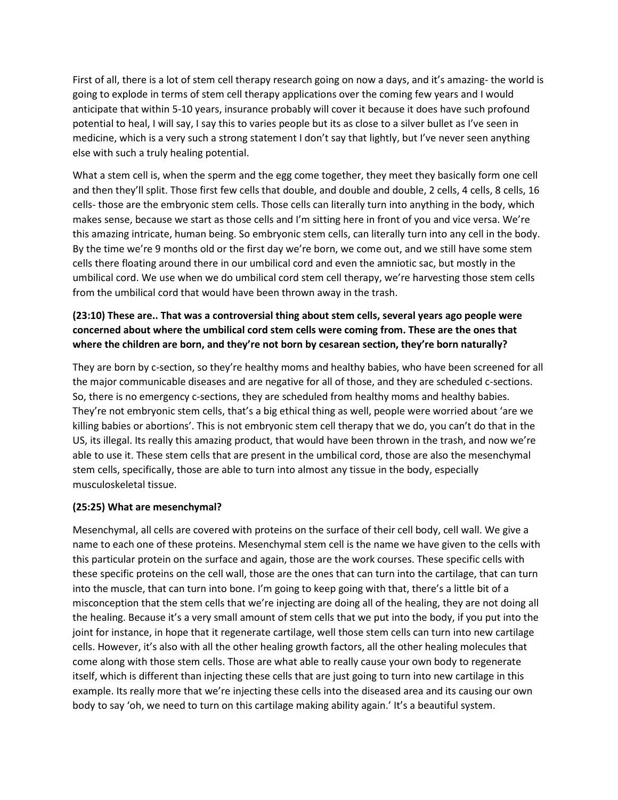First of all, there is a lot of stem cell therapy research going on now a days, and it's amazing- the world is going to explode in terms of stem cell therapy applications over the coming few years and I would anticipate that within 5-10 years, insurance probably will cover it because it does have such profound potential to heal, I will say, I say this to varies people but its as close to a silver bullet as I've seen in medicine, which is a very such a strong statement I don't say that lightly, but I've never seen anything else with such a truly healing potential.

What a stem cell is, when the sperm and the egg come together, they meet they basically form one cell and then they'll split. Those first few cells that double, and double and double, 2 cells, 4 cells, 8 cells, 16 cells- those are the embryonic stem cells. Those cells can literally turn into anything in the body, which makes sense, because we start as those cells and I'm sitting here in front of you and vice versa. We're this amazing intricate, human being. So embryonic stem cells, can literally turn into any cell in the body. By the time we're 9 months old or the first day we're born, we come out, and we still have some stem cells there floating around there in our umbilical cord and even the amniotic sac, but mostly in the umbilical cord. We use when we do umbilical cord stem cell therapy, we're harvesting those stem cells from the umbilical cord that would have been thrown away in the trash.

# **(23:10) These are.. That was a controversial thing about stem cells, several years ago people were concerned about where the umbilical cord stem cells were coming from. These are the ones that where the children are born, and they're not born by cesarean section, they're born naturally?**

They are born by c-section, so they're healthy moms and healthy babies, who have been screened for all the major communicable diseases and are negative for all of those, and they are scheduled c-sections. So, there is no emergency c-sections, they are scheduled from healthy moms and healthy babies. They're not embryonic stem cells, that's a big ethical thing as well, people were worried about 'are we killing babies or abortions'. This is not embryonic stem cell therapy that we do, you can't do that in the US, its illegal. Its really this amazing product, that would have been thrown in the trash, and now we're able to use it. These stem cells that are present in the umbilical cord, those are also the mesenchymal stem cells, specifically, those are able to turn into almost any tissue in the body, especially musculoskeletal tissue.

### **(25:25) What are mesenchymal?**

Mesenchymal, all cells are covered with proteins on the surface of their cell body, cell wall. We give a name to each one of these proteins. Mesenchymal stem cell is the name we have given to the cells with this particular protein on the surface and again, those are the work courses. These specific cells with these specific proteins on the cell wall, those are the ones that can turn into the cartilage, that can turn into the muscle, that can turn into bone. I'm going to keep going with that, there's a little bit of a misconception that the stem cells that we're injecting are doing all of the healing, they are not doing all the healing. Because it's a very small amount of stem cells that we put into the body, if you put into the joint for instance, in hope that it regenerate cartilage, well those stem cells can turn into new cartilage cells. However, it's also with all the other healing growth factors, all the other healing molecules that come along with those stem cells. Those are what able to really cause your own body to regenerate itself, which is different than injecting these cells that are just going to turn into new cartilage in this example. Its really more that we're injecting these cells into the diseased area and its causing our own body to say 'oh, we need to turn on this cartilage making ability again.' It's a beautiful system.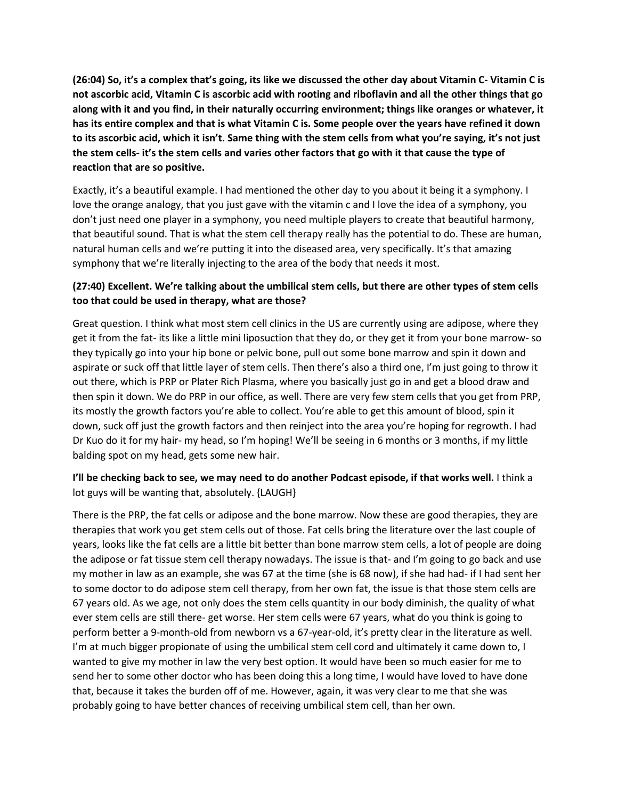**(26:04) So, it's a complex that's going, its like we discussed the other day about Vitamin C- Vitamin C is not ascorbic acid, Vitamin C is ascorbic acid with rooting and riboflavin and all the other things that go along with it and you find, in their naturally occurring environment; things like oranges or whatever, it has its entire complex and that is what Vitamin C is. Some people over the years have refined it down to its ascorbic acid, which it isn't. Same thing with the stem cells from what you're saying, it's not just the stem cells- it's the stem cells and varies other factors that go with it that cause the type of reaction that are so positive.**

Exactly, it's a beautiful example. I had mentioned the other day to you about it being it a symphony. I love the orange analogy, that you just gave with the vitamin c and I love the idea of a symphony, you don't just need one player in a symphony, you need multiple players to create that beautiful harmony, that beautiful sound. That is what the stem cell therapy really has the potential to do. These are human, natural human cells and we're putting it into the diseased area, very specifically. It's that amazing symphony that we're literally injecting to the area of the body that needs it most.

## **(27:40) Excellent. We're talking about the umbilical stem cells, but there are other types of stem cells too that could be used in therapy, what are those?**

Great question. I think what most stem cell clinics in the US are currently using are adipose, where they get it from the fat- its like a little mini liposuction that they do, or they get it from your bone marrow- so they typically go into your hip bone or pelvic bone, pull out some bone marrow and spin it down and aspirate or suck off that little layer of stem cells. Then there's also a third one, I'm just going to throw it out there, which is PRP or Plater Rich Plasma, where you basically just go in and get a blood draw and then spin it down. We do PRP in our office, as well. There are very few stem cells that you get from PRP, its mostly the growth factors you're able to collect. You're able to get this amount of blood, spin it down, suck off just the growth factors and then reinject into the area you're hoping for regrowth. I had Dr Kuo do it for my hair- my head, so I'm hoping! We'll be seeing in 6 months or 3 months, if my little balding spot on my head, gets some new hair.

## **I'll be checking back to see, we may need to do another Podcast episode, if that works well.** I think a lot guys will be wanting that, absolutely. {LAUGH}

There is the PRP, the fat cells or adipose and the bone marrow. Now these are good therapies, they are therapies that work you get stem cells out of those. Fat cells bring the literature over the last couple of years, looks like the fat cells are a little bit better than bone marrow stem cells, a lot of people are doing the adipose or fat tissue stem cell therapy nowadays. The issue is that- and I'm going to go back and use my mother in law as an example, she was 67 at the time (she is 68 now), if she had had- if I had sent her to some doctor to do adipose stem cell therapy, from her own fat, the issue is that those stem cells are 67 years old. As we age, not only does the stem cells quantity in our body diminish, the quality of what ever stem cells are still there- get worse. Her stem cells were 67 years, what do you think is going to perform better a 9-month-old from newborn vs a 67-year-old, it's pretty clear in the literature as well. I'm at much bigger propionate of using the umbilical stem cell cord and ultimately it came down to, I wanted to give my mother in law the very best option. It would have been so much easier for me to send her to some other doctor who has been doing this a long time, I would have loved to have done that, because it takes the burden off of me. However, again, it was very clear to me that she was probably going to have better chances of receiving umbilical stem cell, than her own.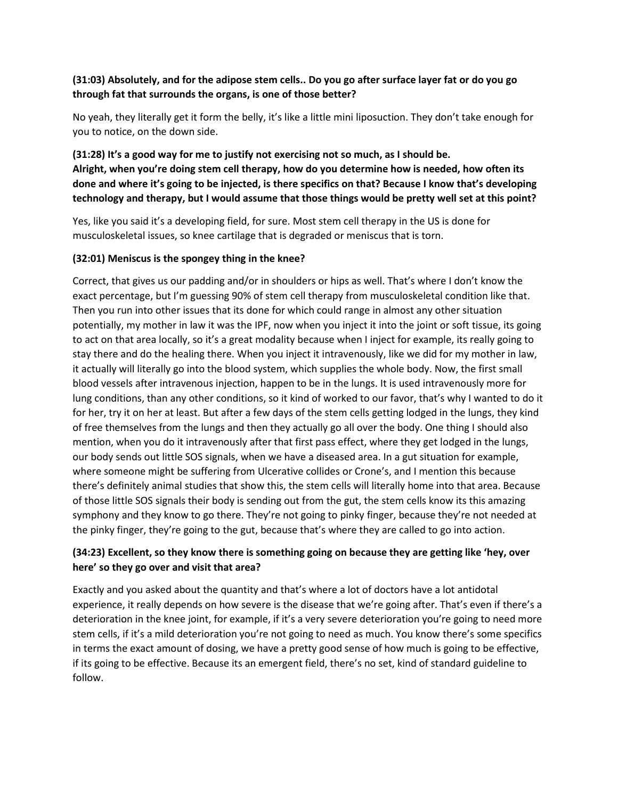## **(31:03) Absolutely, and for the adipose stem cells.. Do you go after surface layer fat or do you go through fat that surrounds the organs, is one of those better?**

No yeah, they literally get it form the belly, it's like a little mini liposuction. They don't take enough for you to notice, on the down side.

**(31:28) It's a good way for me to justify not exercising not so much, as I should be. Alright, when you're doing stem cell therapy, how do you determine how is needed, how often its done and where it's going to be injected, is there specifics on that? Because I know that's developing technology and therapy, but I would assume that those things would be pretty well set at this point?**

Yes, like you said it's a developing field, for sure. Most stem cell therapy in the US is done for musculoskeletal issues, so knee cartilage that is degraded or meniscus that is torn.

### **(32:01) Meniscus is the spongey thing in the knee?**

Correct, that gives us our padding and/or in shoulders or hips as well. That's where I don't know the exact percentage, but I'm guessing 90% of stem cell therapy from musculoskeletal condition like that. Then you run into other issues that its done for which could range in almost any other situation potentially, my mother in law it was the IPF, now when you inject it into the joint or soft tissue, its going to act on that area locally, so it's a great modality because when I inject for example, its really going to stay there and do the healing there. When you inject it intravenously, like we did for my mother in law, it actually will literally go into the blood system, which supplies the whole body. Now, the first small blood vessels after intravenous injection, happen to be in the lungs. It is used intravenously more for lung conditions, than any other conditions, so it kind of worked to our favor, that's why I wanted to do it for her, try it on her at least. But after a few days of the stem cells getting lodged in the lungs, they kind of free themselves from the lungs and then they actually go all over the body. One thing I should also mention, when you do it intravenously after that first pass effect, where they get lodged in the lungs, our body sends out little SOS signals, when we have a diseased area. In a gut situation for example, where someone might be suffering from Ulcerative collides or Crone's, and I mention this because there's definitely animal studies that show this, the stem cells will literally home into that area. Because of those little SOS signals their body is sending out from the gut, the stem cells know its this amazing symphony and they know to go there. They're not going to pinky finger, because they're not needed at the pinky finger, they're going to the gut, because that's where they are called to go into action.

## **(34:23) Excellent, so they know there is something going on because they are getting like 'hey, over here' so they go over and visit that area?**

Exactly and you asked about the quantity and that's where a lot of doctors have a lot antidotal experience, it really depends on how severe is the disease that we're going after. That's even if there's a deterioration in the knee joint, for example, if it's a very severe deterioration you're going to need more stem cells, if it's a mild deterioration you're not going to need as much. You know there's some specifics in terms the exact amount of dosing, we have a pretty good sense of how much is going to be effective, if its going to be effective. Because its an emergent field, there's no set, kind of standard guideline to follow.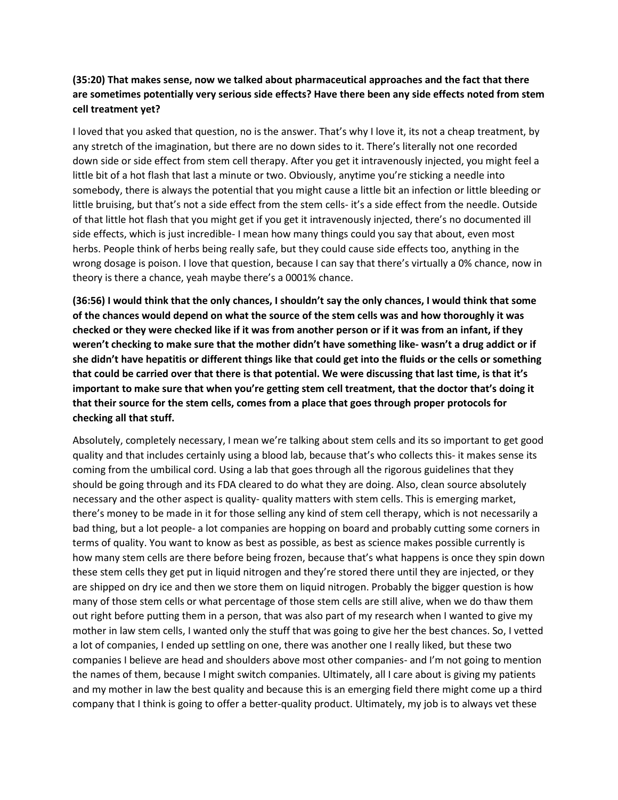## **(35:20) That makes sense, now we talked about pharmaceutical approaches and the fact that there are sometimes potentially very serious side effects? Have there been any side effects noted from stem cell treatment yet?**

I loved that you asked that question, no is the answer. That's why I love it, its not a cheap treatment, by any stretch of the imagination, but there are no down sides to it. There's literally not one recorded down side or side effect from stem cell therapy. After you get it intravenously injected, you might feel a little bit of a hot flash that last a minute or two. Obviously, anytime you're sticking a needle into somebody, there is always the potential that you might cause a little bit an infection or little bleeding or little bruising, but that's not a side effect from the stem cells- it's a side effect from the needle. Outside of that little hot flash that you might get if you get it intravenously injected, there's no documented ill side effects, which is just incredible- I mean how many things could you say that about, even most herbs. People think of herbs being really safe, but they could cause side effects too, anything in the wrong dosage is poison. I love that question, because I can say that there's virtually a 0% chance, now in theory is there a chance, yeah maybe there's a 0001% chance.

**(36:56) I would think that the only chances, I shouldn't say the only chances, I would think that some of the chances would depend on what the source of the stem cells was and how thoroughly it was checked or they were checked like if it was from another person or if it was from an infant, if they weren't checking to make sure that the mother didn't have something like- wasn't a drug addict or if she didn't have hepatitis or different things like that could get into the fluids or the cells or something that could be carried over that there is that potential. We were discussing that last time, is that it's important to make sure that when you're getting stem cell treatment, that the doctor that's doing it that their source for the stem cells, comes from a place that goes through proper protocols for checking all that stuff.**

Absolutely, completely necessary, I mean we're talking about stem cells and its so important to get good quality and that includes certainly using a blood lab, because that's who collects this- it makes sense its coming from the umbilical cord. Using a lab that goes through all the rigorous guidelines that they should be going through and its FDA cleared to do what they are doing. Also, clean source absolutely necessary and the other aspect is quality- quality matters with stem cells. This is emerging market, there's money to be made in it for those selling any kind of stem cell therapy, which is not necessarily a bad thing, but a lot people- a lot companies are hopping on board and probably cutting some corners in terms of quality. You want to know as best as possible, as best as science makes possible currently is how many stem cells are there before being frozen, because that's what happens is once they spin down these stem cells they get put in liquid nitrogen and they're stored there until they are injected, or they are shipped on dry ice and then we store them on liquid nitrogen. Probably the bigger question is how many of those stem cells or what percentage of those stem cells are still alive, when we do thaw them out right before putting them in a person, that was also part of my research when I wanted to give my mother in law stem cells, I wanted only the stuff that was going to give her the best chances. So, I vetted a lot of companies, I ended up settling on one, there was another one I really liked, but these two companies I believe are head and shoulders above most other companies- and I'm not going to mention the names of them, because I might switch companies. Ultimately, all I care about is giving my patients and my mother in law the best quality and because this is an emerging field there might come up a third company that I think is going to offer a better-quality product. Ultimately, my job is to always vet these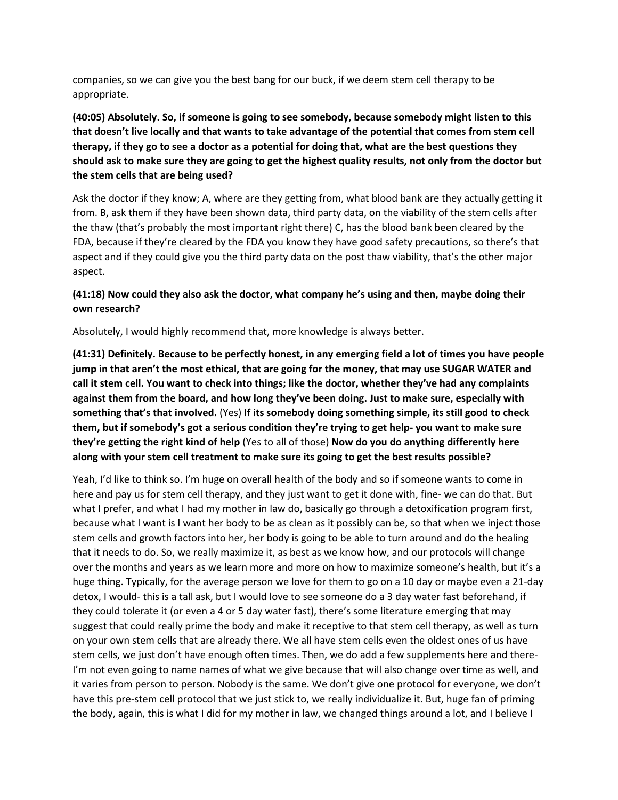companies, so we can give you the best bang for our buck, if we deem stem cell therapy to be appropriate.

**(40:05) Absolutely. So, if someone is going to see somebody, because somebody might listen to this that doesn't live locally and that wants to take advantage of the potential that comes from stem cell therapy, if they go to see a doctor as a potential for doing that, what are the best questions they should ask to make sure they are going to get the highest quality results, not only from the doctor but the stem cells that are being used?**

Ask the doctor if they know; A, where are they getting from, what blood bank are they actually getting it from. B, ask them if they have been shown data, third party data, on the viability of the stem cells after the thaw (that's probably the most important right there) C, has the blood bank been cleared by the FDA, because if they're cleared by the FDA you know they have good safety precautions, so there's that aspect and if they could give you the third party data on the post thaw viability, that's the other major aspect.

## **(41:18) Now could they also ask the doctor, what company he's using and then, maybe doing their own research?**

Absolutely, I would highly recommend that, more knowledge is always better.

**(41:31) Definitely. Because to be perfectly honest, in any emerging field a lot of times you have people jump in that aren't the most ethical, that are going for the money, that may use SUGAR WATER and call it stem cell. You want to check into things; like the doctor, whether they've had any complaints against them from the board, and how long they've been doing. Just to make sure, especially with something that's that involved.** (Yes) **If its somebody doing something simple, its still good to check them, but if somebody's got a serious condition they're trying to get help- you want to make sure they're getting the right kind of help** (Yes to all of those) **Now do you do anything differently here along with your stem cell treatment to make sure its going to get the best results possible?**

Yeah, I'd like to think so. I'm huge on overall health of the body and so if someone wants to come in here and pay us for stem cell therapy, and they just want to get it done with, fine- we can do that. But what I prefer, and what I had my mother in law do, basically go through a detoxification program first, because what I want is I want her body to be as clean as it possibly can be, so that when we inject those stem cells and growth factors into her, her body is going to be able to turn around and do the healing that it needs to do. So, we really maximize it, as best as we know how, and our protocols will change over the months and years as we learn more and more on how to maximize someone's health, but it's a huge thing. Typically, for the average person we love for them to go on a 10 day or maybe even a 21-day detox, I would- this is a tall ask, but I would love to see someone do a 3 day water fast beforehand, if they could tolerate it (or even a 4 or 5 day water fast), there's some literature emerging that may suggest that could really prime the body and make it receptive to that stem cell therapy, as well as turn on your own stem cells that are already there. We all have stem cells even the oldest ones of us have stem cells, we just don't have enough often times. Then, we do add a few supplements here and there-I'm not even going to name names of what we give because that will also change over time as well, and it varies from person to person. Nobody is the same. We don't give one protocol for everyone, we don't have this pre-stem cell protocol that we just stick to, we really individualize it. But, huge fan of priming the body, again, this is what I did for my mother in law, we changed things around a lot, and I believe I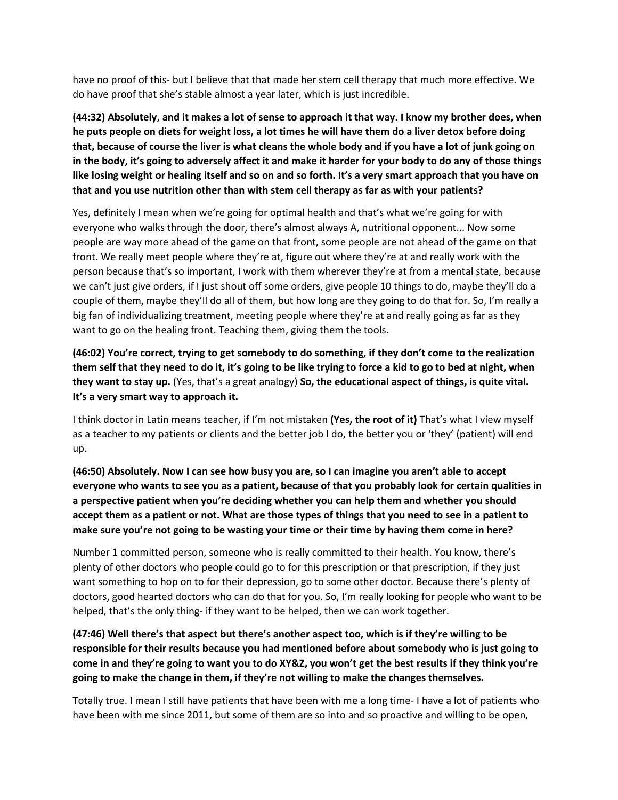have no proof of this- but I believe that that made her stem cell therapy that much more effective. We do have proof that she's stable almost a year later, which is just incredible.

**(44:32) Absolutely, and it makes a lot of sense to approach it that way. I know my brother does, when he puts people on diets for weight loss, a lot times he will have them do a liver detox before doing that, because of course the liver is what cleans the whole body and if you have a lot of junk going on in the body, it's going to adversely affect it and make it harder for your body to do any of those things like losing weight or healing itself and so on and so forth. It's a very smart approach that you have on that and you use nutrition other than with stem cell therapy as far as with your patients?**

Yes, definitely I mean when we're going for optimal health and that's what we're going for with everyone who walks through the door, there's almost always A, nutritional opponent... Now some people are way more ahead of the game on that front, some people are not ahead of the game on that front. We really meet people where they're at, figure out where they're at and really work with the person because that's so important, I work with them wherever they're at from a mental state, because we can't just give orders, if I just shout off some orders, give people 10 things to do, maybe they'll do a couple of them, maybe they'll do all of them, but how long are they going to do that for. So, I'm really a big fan of individualizing treatment, meeting people where they're at and really going as far as they want to go on the healing front. Teaching them, giving them the tools.

**(46:02) You're correct, trying to get somebody to do something, if they don't come to the realization them self that they need to do it, it's going to be like trying to force a kid to go to bed at night, when they want to stay up.** (Yes, that's a great analogy) **So, the educational aspect of things, is quite vital. It's a very smart way to approach it.**

I think doctor in Latin means teacher, if I'm not mistaken **(Yes, the root of it)** That's what I view myself as a teacher to my patients or clients and the better job I do, the better you or 'they' (patient) will end up.

**(46:50) Absolutely. Now I can see how busy you are, so I can imagine you aren't able to accept everyone who wants to see you as a patient, because of that you probably look for certain qualities in a perspective patient when you're deciding whether you can help them and whether you should accept them as a patient or not. What are those types of things that you need to see in a patient to make sure you're not going to be wasting your time or their time by having them come in here?**

Number 1 committed person, someone who is really committed to their health. You know, there's plenty of other doctors who people could go to for this prescription or that prescription, if they just want something to hop on to for their depression, go to some other doctor. Because there's plenty of doctors, good hearted doctors who can do that for you. So, I'm really looking for people who want to be helped, that's the only thing- if they want to be helped, then we can work together.

# **(47:46) Well there's that aspect but there's another aspect too, which is if they're willing to be responsible for their results because you had mentioned before about somebody who is just going to come in and they're going to want you to do XY&Z, you won't get the best results if they think you're going to make the change in them, if they're not willing to make the changes themselves.**

Totally true. I mean I still have patients that have been with me a long time- I have a lot of patients who have been with me since 2011, but some of them are so into and so proactive and willing to be open,